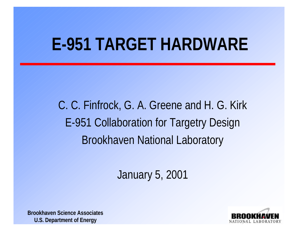# **E-951 TARGET HARDWARE**

C. C. Finfrock, G. A. Greene and H. G. Kirk E-951 Collaboration for Targetry Design Brookhaven National Laboratory

January 5, 2001

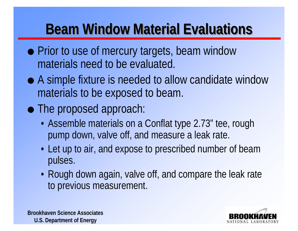## **Beam Window Material Evaluations**

- Prior to use of mercury targets, beam window materials need to be evaluated.
- A simple fixture is needed to allow candidate window materials to be exposed to beam.
- The proposed approach:
	- Assemble materials on a Conflat type 2.73" tee, rough pump down, valve off, and measure a leak rate.
	- Let up to air, and expose to prescribed number of beam pulses.
	- Rough down again, valve off, and compare the leak rate to previous measurement.



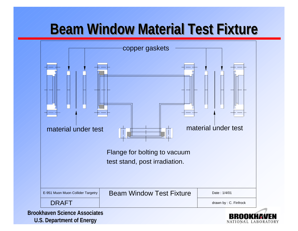## **Beam Window Material Test Fixture**

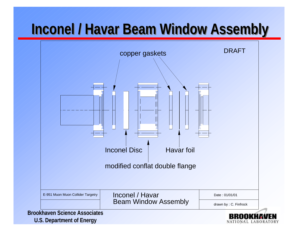### **Inconel / Havar Beam Window Assembly**

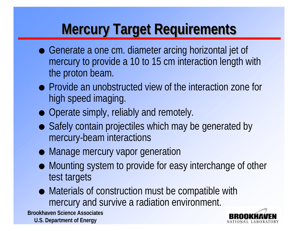## **Mercury Target Requirements**

- Generate a one cm. diameter arcing horizontal jet of mercury to provide a 10 to 15 cm interaction length with the proton beam.
- **Provide an unobstructed view of the interaction zone for** high speed imaging.
- Operate simply, reliably and remotely.
- Safely contain projectiles which may be generated by mercury-beam interactions
- Manage mercury vapor generation
- Mounting system to provide for easy interchange of other test targets
- $\bullet$  Materials of construction must be compatible with mercury and survive a radiation environment.

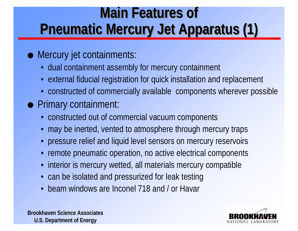## **Main Features of Pneumatic Mercury Jet Apparatus (1)**

#### **.** Mercury jet containments:

- dual containment assembly for mercury containment
- external fiducial registration for quick installation and replacement
- constructed of commercially available components wherever possible
- **Primary containment:** 
	- constructed out of commercial vacuum components
	- may be inerted, vented to atmosphere through mercury traps
	- pressure relief and liquid level sensors on mercury reservoirs
	- remote pneumatic operation, no active electrical components
	- interior is mercury wetted, all materials mercury compatible
	- can be isolated and pressurized for leak testing
	- beam windows are Inconel 718 and / or Havar



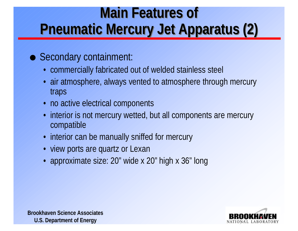## **Main Features of Pneumatic Mercury Jet Apparatus (2)**

#### ● Secondary containment:

- commercially fabricated out of welded stainless steel
- air atmosphere, always vented to atmosphere through mercury traps
- no active electrical components
- interior is not mercury wetted, but all components are mercury compatible
- interior can be manually sniffed for mercury
- view ports are quartz or Lexan
- approximate size: 20" wide x 20" high x 36" long

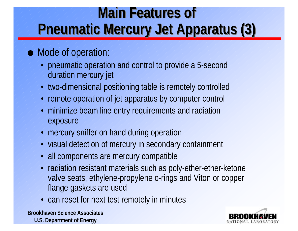## **Main Features of Pneumatic Mercury Jet Apparatus (3)**

#### • Mode of operation:

- pneumatic operation and control to provide a 5-second duration mercury jet
- two-dimensional positioning table is remotely controlled
- remote operation of jet apparatus by computer control
- minimize beam line entry requirements and radiation exposure
- mercury sniffer on hand during operation
- visual detection of mercury in secondary containment
- all components are mercury compatible
- radiation resistant materials such as poly-ether-ether-ketone valve seats, ethylene-propylene o-rings and Viton or copper flange gaskets are used
- can reset for next test remotely in minutes

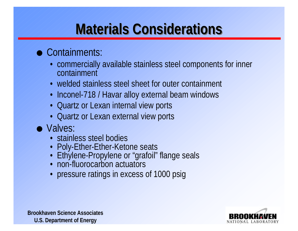## **Materials Considerations**

#### $\bullet$  Containments:

- commercially available stainless steel components for inner containment
- welded stainless steel sheet for outer containment
- Inconel-718 / Havar alloy external beam windows
- Quartz or Lexan internal view ports
- Quartz or Lexan external view ports

#### $\bullet$  Valves:

- stainless steel bodies
- Poly-Ether-Ether-Ketone seats
- Ethylene-Propylene or "grafoil" flange seals
- non-fluorocarbon actuators
- pressure ratings in excess of 1000 psig

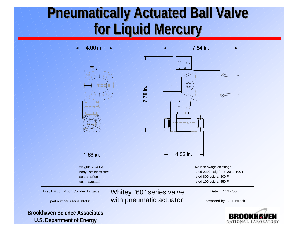### **Pneumatically Actuated Ball Valve for Liquid Mercury**



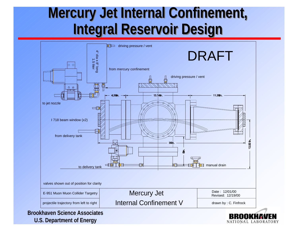### **Mercury Jet Internal Confinement, Integral Reservoir Design**

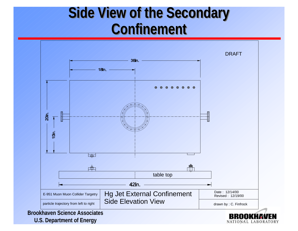### **Side View of the Secondary Confinement**

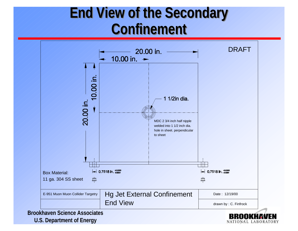### **End View of the Secondary Confinement**

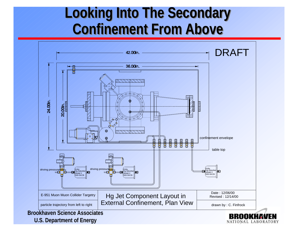### **Looking Into The Secondary Confinement From Above**

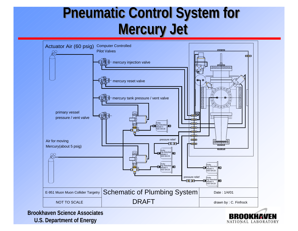### **Pneumatic Control System for Mercury Jet**



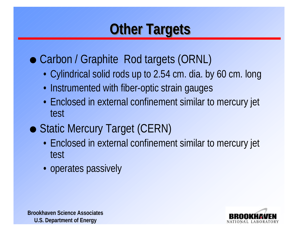## **Other Targets**

### • Carbon / Graphite Rod targets (ORNL)

- Cylindrical solid rods up to 2.54 cm. dia. by 60 cm. long
- Instrumented with fiber-optic strain gauges
- Enclosed in external confinement similar to mercury jet test
- Static Mercury Target (CERN)
	- Enclosed in external confinement similar to mercury jet test
	- operates passively

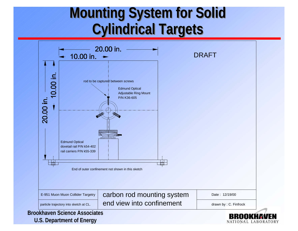### **Mounting System for Solid Cylindrical Targets**

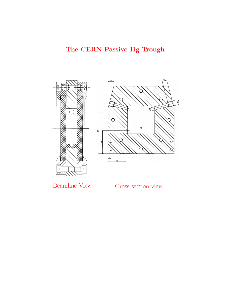

 $\mathcal{L}_{\text{1}}$  view Cross-section view  $\mathcal{L}_{\text{2}}$